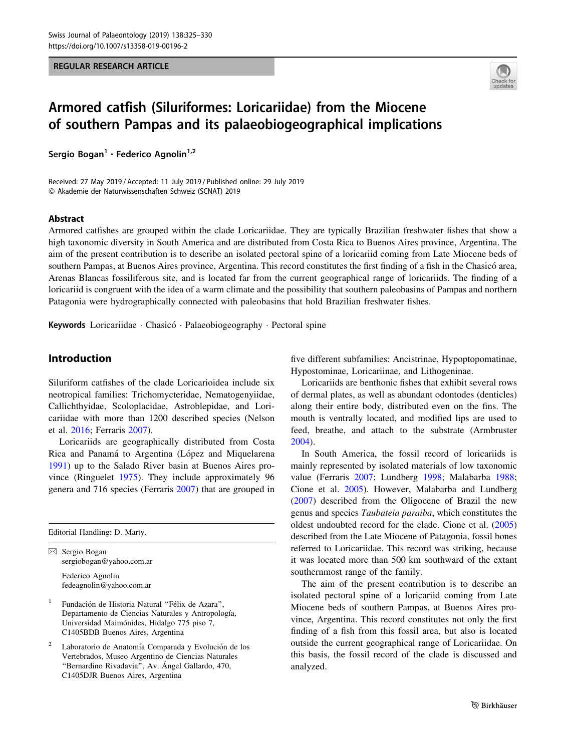#### REGULAR RESEARCH ARTICLE



# Armored catfish (Siluriformes: Loricariidae) from the Miocene of southern Pampas and its palaeobiogeographical implications

Sergio Bogan<sup>1</sup> · Federico Agnolin<sup>1,2</sup>

Received: 27 May 2019 / Accepted: 11 July 2019 / Published online: 29 July 2019 - Akademie der Naturwissenschaften Schweiz (SCNAT) 2019

#### Abstract

Armored catfishes are grouped within the clade Loricariidae. They are typically Brazilian freshwater fishes that show a high taxonomic diversity in South America and are distributed from Costa Rica to Buenos Aires province, Argentina. The aim of the present contribution is to describe an isolated pectoral spine of a loricariid coming from Late Miocene beds of southern Pampas, at Buenos Aires province, Argentina. This record constitutes the first finding of a fish in the Chasicó area, Arenas Blancas fossiliferous site, and is located far from the current geographical range of loricariids. The finding of a loricariid is congruent with the idea of a warm climate and the possibility that southern paleobasins of Pampas and northern Patagonia were hydrographically connected with paleobasins that hold Brazilian freshwater fishes.

Keywords Loricariidae · Chasicó · Palaeobiogeography · Pectoral spine

# Introduction

Siluriform catfishes of the clade Loricarioidea include six neotropical families: Trichomycteridae, Nematogenyiidae, Callichthyidae, Scoloplacidae, Astroblepidae, and Loricariidae with more than 1200 described species (Nelson et al. [2016;](#page-5-0) Ferraris [2007](#page-4-0)).

Loricariids are geographically distributed from Costa Rica and Panamá to Argentina (López and Miquelarena [1991\)](#page-4-0) up to the Salado River basin at Buenos Aires province (Ringuelet [1975](#page-5-0)). They include approximately 96 genera and 716 species (Ferraris [2007\)](#page-4-0) that are grouped in

Editorial Handling: D. Marty.

& Sergio Bogan sergiobogan@yahoo.com.ar

> Federico Agnolin fedeagnolin@yahoo.com.ar

- $1$  Fundación de Historia Natural "Félix de Azara", Departamento de Ciencias Naturales y Antropología, Universidad Maimónides, Hidalgo 775 piso 7, C1405BDB Buenos Aires, Argentina
- <sup>2</sup> Laboratorio de Anatomía Comparada y Evolución de los Vertebrados, Museo Argentino de Ciencias Naturales "Bernardino Rivadavia", Av. Ángel Gallardo, 470, C1405DJR Buenos Aires, Argentina

five different subfamilies: Ancistrinae, Hypoptopomatinae, Hypostominae, Loricariinae, and Lithogeninae.

Loricariids are benthonic fishes that exhibit several rows of dermal plates, as well as abundant odontodes (denticles) along their entire body, distributed even on the fins. The mouth is ventrally located, and modified lips are used to feed, breathe, and attach to the substrate (Armbruster [2004](#page-4-0)).

In South America, the fossil record of loricariids is mainly represented by isolated materials of low taxonomic value (Ferraris [2007;](#page-4-0) Lundberg [1998](#page-5-0); Malabarba [1988](#page-5-0); Cione et al. [2005\)](#page-4-0). However, Malabarba and Lundberg [\(2007](#page-5-0)) described from the Oligocene of Brazil the new genus and species Taubateia paraiba, which constitutes the oldest undoubted record for the clade. Cione et al. ([2005\)](#page-4-0) described from the Late Miocene of Patagonia, fossil bones referred to Loricariidae. This record was striking, because it was located more than 500 km southward of the extant southernmost range of the family.

The aim of the present contribution is to describe an isolated pectoral spine of a loricariid coming from Late Miocene beds of southern Pampas, at Buenos Aires province, Argentina. This record constitutes not only the first finding of a fish from this fossil area, but also is located outside the current geographical range of Loricariidae. On this basis, the fossil record of the clade is discussed and analyzed.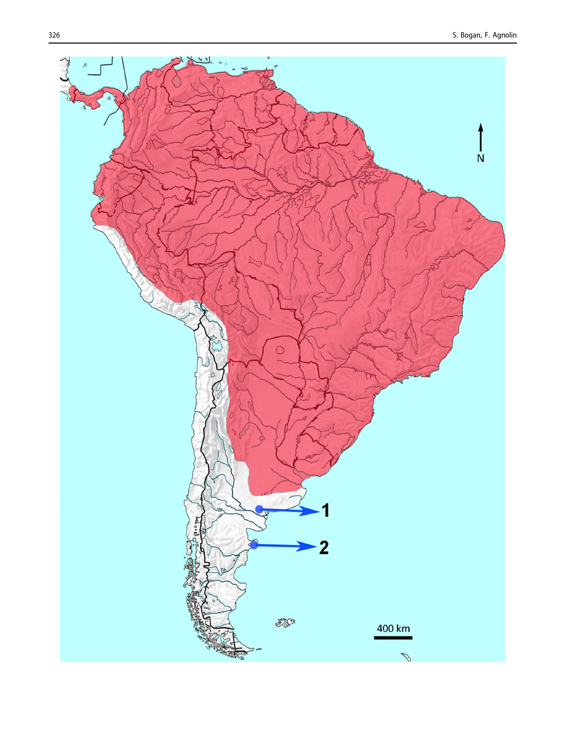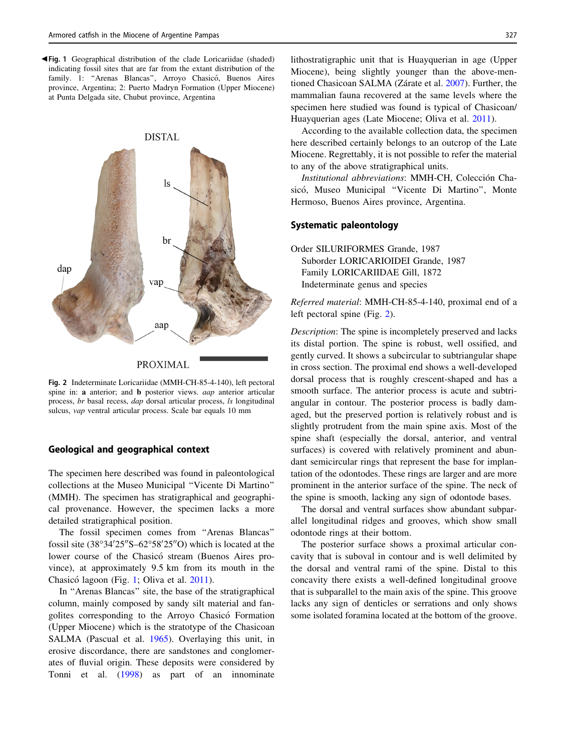<span id="page-2-0"></span>b Fig. 1 Geographical distribution of the clade Loricariidae (shaded) indicating fossil sites that are far from the extant distribution of the family. 1: "Arenas Blancas", Arroyo Chasicó, Buenos Aires province, Argentina; 2: Puerto Madryn Formation (Upper Miocene) at Punta Delgada site, Chubut province, Argentina



#### PROXIMAL

Fig. 2 Indeterminate Loricariidae (MMH-CH-85-4-140), left pectoral spine in: a anterior; and b posterior views. aap anterior articular process, br basal recess, dap dorsal articular process, ls longitudinal sulcus, vap ventral articular process. Scale bar equals 10 mm

## Geological and geographical context

The specimen here described was found in paleontological collections at the Museo Municipal ''Vicente Di Martino'' (MMH). The specimen has stratigraphical and geographical provenance. However, the specimen lacks a more detailed stratigraphical position.

The fossil specimen comes from ''Arenas Blancas'' fossil site  $(38°34'25''S - 62°58'25''O)$  which is located at the lower course of the Chasicó stream (Buenos Aires province), at approximately 9.5 km from its mouth in the Chasicó lagoon (Fig. 1; Oliva et al. [2011\)](#page-5-0).

In ''Arenas Blancas'' site, the base of the stratigraphical column, mainly composed by sandy silt material and fangolites corresponding to the Arroyo Chasicó Formation (Upper Miocene) which is the stratotype of the Chasicoan SALMA (Pascual et al. [1965](#page-5-0)). Overlaying this unit, in erosive discordance, there are sandstones and conglomerates of fluvial origin. These deposits were considered by Tonni et al. ([1998\)](#page-5-0) as part of an innominate lithostratigraphic unit that is Huayquerian in age (Upper Miocene), being slightly younger than the above-men-tioned Chasicoan SALMA (Zárate et al. [2007](#page-5-0)). Further, the mammalian fauna recovered at the same levels where the specimen here studied was found is typical of Chasicoan/ Huayquerian ages (Late Miocene; Oliva et al. [2011](#page-5-0)).

According to the available collection data, the specimen here described certainly belongs to an outcrop of the Late Miocene. Regrettably, it is not possible to refer the material to any of the above stratigraphical units.

Institutional abbreviations: MMH-CH, Colección Chasicó, Museo Municipal "Vicente Di Martino", Monte Hermoso, Buenos Aires province, Argentina.

#### Systematic paleontology

Order SILURIFORMES Grande, 1987 Suborder LORICARIOIDEI Grande, 1987 Family LORICARIIDAE Gill, 1872 Indeterminate genus and species

Referred material: MMH-CH-85-4-140, proximal end of a left pectoral spine (Fig. 2).

Description: The spine is incompletely preserved and lacks its distal portion. The spine is robust, well ossified, and gently curved. It shows a subcircular to subtriangular shape in cross section. The proximal end shows a well-developed dorsal process that is roughly crescent-shaped and has a smooth surface. The anterior process is acute and subtriangular in contour. The posterior process is badly damaged, but the preserved portion is relatively robust and is slightly protrudent from the main spine axis. Most of the spine shaft (especially the dorsal, anterior, and ventral surfaces) is covered with relatively prominent and abundant semicircular rings that represent the base for implantation of the odontodes. These rings are larger and are more prominent in the anterior surface of the spine. The neck of the spine is smooth, lacking any sign of odontode bases.

The dorsal and ventral surfaces show abundant subparallel longitudinal ridges and grooves, which show small odontode rings at their bottom.

The posterior surface shows a proximal articular concavity that is suboval in contour and is well delimited by the dorsal and ventral rami of the spine. Distal to this concavity there exists a well-defined longitudinal groove that is subparallel to the main axis of the spine. This groove lacks any sign of denticles or serrations and only shows some isolated foramina located at the bottom of the groove.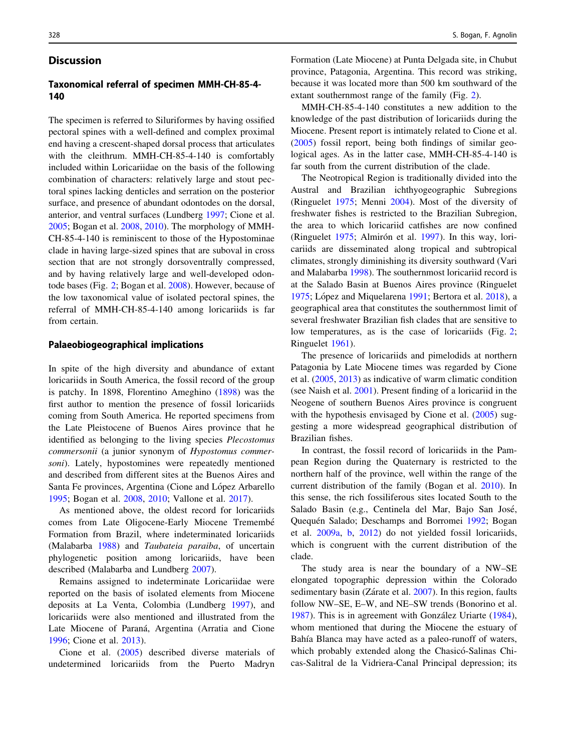### **Discussion**

## Taxonomical referral of specimen MMH-CH-85-4- 140

The specimen is referred to Siluriformes by having ossified pectoral spines with a well-defined and complex proximal end having a crescent-shaped dorsal process that articulates with the cleithrum. MMH-CH-85-4-140 is comfortably included within Loricariidae on the basis of the following combination of characters: relatively large and stout pectoral spines lacking denticles and serration on the posterior surface, and presence of abundant odontodes on the dorsal, anterior, and ventral surfaces (Lundberg [1997;](#page-5-0) Cione et al. [2005;](#page-4-0) Bogan et al. [2008](#page-4-0), [2010](#page-4-0)). The morphology of MMH-CH-85-4-140 is reminiscent to those of the Hypostominae clade in having large-sized spines that are suboval in cross section that are not strongly dorsoventrally compressed, and by having relatively large and well-developed odontode bases (Fig. [2](#page-2-0); Bogan et al. [2008](#page-4-0)). However, because of the low taxonomical value of isolated pectoral spines, the referral of MMH-CH-85-4-140 among loricariids is far from certain.

#### Palaeobiogeographical implications

In spite of the high diversity and abundance of extant loricariids in South America, the fossil record of the group is patchy. In 1898, Florentino Ameghino ([1898\)](#page-4-0) was the first author to mention the presence of fossil loricariids coming from South America. He reported specimens from the Late Pleistocene of Buenos Aires province that he identified as belonging to the living species Plecostomus commersonii (a junior synonym of Hypostomus commersoni). Lately, hypostomines were repeatedly mentioned and described from different sites at the Buenos Aires and Santa Fe provinces, Argentina (Cione and López Arbarello) [1995;](#page-4-0) Bogan et al. [2008](#page-4-0), [2010;](#page-4-0) Vallone et al. [2017\)](#page-5-0).

As mentioned above, the oldest record for loricariids comes from Late Oligocene-Early Miocene Tremembé Formation from Brazil, where indeterminated loricariids (Malabarba [1988\)](#page-5-0) and Taubateia paraiba, of uncertain phylogenetic position among loricariids, have been described (Malabarba and Lundberg [2007](#page-5-0)).

Remains assigned to indeterminate Loricariidae were reported on the basis of isolated elements from Miocene deposits at La Venta, Colombia (Lundberg [1997](#page-5-0)), and loricariids were also mentioned and illustrated from the Late Miocene of Paraná, Argentina (Arratia and Cione [1996;](#page-4-0) Cione et al. [2013](#page-4-0)).

Cione et al. ([2005\)](#page-4-0) described diverse materials of undetermined loricariids from the Puerto Madryn Formation (Late Miocene) at Punta Delgada site, in Chubut province, Patagonia, Argentina. This record was striking, because it was located more than 500 km southward of the extant southernmost range of the family (Fig. [2\)](#page-2-0).

MMH-CH-85-4-140 constitutes a new addition to the knowledge of the past distribution of loricariids during the Miocene. Present report is intimately related to Cione et al. [\(2005](#page-4-0)) fossil report, being both findings of similar geological ages. As in the latter case, MMH-CH-85-4-140 is far south from the current distribution of the clade.

The Neotropical Region is traditionally divided into the Austral and Brazilian ichthyogeographic Subregions (Ringuelet [1975](#page-5-0); Menni [2004](#page-5-0)). Most of the diversity of freshwater fishes is restricted to the Brazilian Subregion, the area to which loricariid catfishes are now confined (Ringuelet  $1975$ ; Almirón et al. [1997\)](#page-4-0). In this way, loricariids are disseminated along tropical and subtropical climates, strongly diminishing its diversity southward (Vari and Malabarba [1998](#page-5-0)). The southernmost loricariid record is at the Salado Basin at Buenos Aires province (Ringuelet [1975](#page-5-0); López and Miquelarena [1991](#page-4-0); Bertora et al. [2018](#page-4-0)), a geographical area that constitutes the southernmost limit of several freshwater Brazilian fish clades that are sensitive to low temperatures, as is the case of loricariids (Fig. [2](#page-2-0); Ringuelet [1961](#page-5-0)).

The presence of loricariids and pimelodids at northern Patagonia by Late Miocene times was regarded by Cione et al. ([2005](#page-4-0), [2013](#page-4-0)) as indicative of warm climatic condition (see Naish et al. [2001\)](#page-5-0). Present finding of a loricariid in the Neogene of southern Buenos Aires province is congruent with the hypothesis envisaged by Cione et al. [\(2005](#page-4-0)) suggesting a more widespread geographical distribution of Brazilian fishes.

In contrast, the fossil record of loricariids in the Pampean Region during the Quaternary is restricted to the northern half of the province, well within the range of the current distribution of the family (Bogan et al. [2010](#page-4-0)). In this sense, the rich fossiliferous sites located South to the Salado Basin (e.g., Centinela del Mar, Bajo San José, Quequén Salado; Deschamps and Borromei [1992](#page-4-0); Bogan et al. [2009a,](#page-4-0) [b,](#page-4-0) [2012](#page-4-0)) do not yielded fossil loricariids, which is congruent with the current distribution of the clade.

The study area is near the boundary of a NW–SE elongated topographic depression within the Colorado sedimentary basin (Zárate et al. [2007](#page-5-0)). In this region, faults follow NW–SE, E–W, and NE–SW trends (Bonorino et al. [1987](#page-4-0)). This is in agreement with González Uriarte [\(1984](#page-4-0)), whom mentioned that during the Miocene the estuary of Bahía Blanca may have acted as a paleo-runoff of waters, which probably extended along the Chasicó-Salinas Chicas-Salitral de la Vidriera-Canal Principal depression; its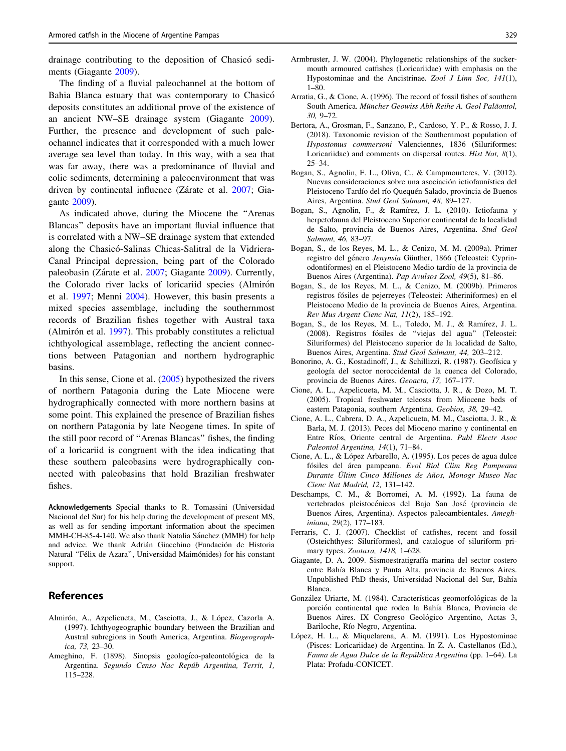<span id="page-4-0"></span>drainage contributing to the deposition of Chasicó sediments (Giagante 2009).

The finding of a fluvial paleochannel at the bottom of Bahia Blanca estuary that was contemporary to Chasicó deposits constitutes an additional prove of the existence of an ancient NW–SE drainage system (Giagante 2009). Further, the presence and development of such paleochannel indicates that it corresponded with a much lower average sea level than today. In this way, with a sea that was far away, there was a predominance of fluvial and eolic sediments, determining a paleoenvironment that was driven by continental influence (Zárate et al. [2007](#page-5-0); Giagante 2009).

As indicated above, during the Miocene the ''Arenas Blancas'' deposits have an important fluvial influence that is correlated with a NW–SE drainage system that extended along the Chasicó-Salinas Chicas-Salitral de la Vidriera-Canal Principal depression, being part of the Colorado paleobasin (Zárate et al. [2007](#page-5-0); Giagante 2009). Currently, the Colorado river lacks of loricariid species (Almirón et al. 1997; Menni [2004](#page-5-0)). However, this basin presents a mixed species assemblage, including the southernmost records of Brazilian fishes together with Austral taxa (Almirón et al.  $1997$ ). This probably constitutes a relictual ichthyological assemblage, reflecting the ancient connections between Patagonian and northern hydrographic basins.

In this sense, Cione et al. (2005) hypothesized the rivers of northern Patagonia during the Late Miocene were hydrographically connected with more northern basins at some point. This explained the presence of Brazilian fishes on northern Patagonia by late Neogene times. In spite of the still poor record of ''Arenas Blancas'' fishes, the finding of a loricariid is congruent with the idea indicating that these southern paleobasins were hydrographically connected with paleobasins that hold Brazilian freshwater fishes.

Acknowledgements Special thanks to R. Tomassini (Universidad Nacional del Sur) for his help during the development of present MS, as well as for sending important information about the specimen MMH-CH-85-4-140. We also thank Natalia Sánchez (MMH) for help and advice. We thank Adrián Giacchino (Fundación de Historia Natural "Félix de Azara", Universidad Maimónides) for his constant support.

## References

- Almirón, A., Azpelicueta, M., Casciotta, J., & López, Cazorla A. (1997). Ichthyogeographic boundary between the Brazilian and Austral subregions in South America, Argentina. Biogeographica, 73, 23–30.
- Ameghino, F. (1898). Sinopsis geologíco-paleontológica de la Argentina. Segundo Censo Nac Repúb Argentina, Territ, 1, 115–228.
- Armbruster, J. W. (2004). Phylogenetic relationships of the suckermouth armoured catfishes (Loricariidae) with emphasis on the Hypostominae and the Ancistrinae. Zool J Linn Soc, 141(1), 1–80.
- Arratia, G., & Cione, A. (1996). The record of fossil fishes of southern South America. Müncher Geowiss Abh Reihe A. Geol Paläontol, 30, 9–72.
- Bertora, A., Grosman, F., Sanzano, P., Cardoso, Y. P., & Rosso, J. J. (2018). Taxonomic revision of the Southernmost population of Hypostomus commersoni Valenciennes, 1836 (Siluriformes: Loricariidae) and comments on dispersal routes. Hist Nat, 8(1), 25–34.
- Bogan, S., Agnolin, F. L., Oliva, C., & Campmourteres, V. (2012). Nuevas consideraciones sobre una asociación ictiofaunística del Pleistoceno Tardío del río Quequén Salado, provincia de Buenos Aires, Argentina. Stud Geol Salmant, 48, 89–127.
- Bogan, S., Agnolin, F., & Ramírez, J. L. (2010). Ictiofauna y herpetofauna del Pleistoceno Superior continental de la localidad de Salto, provincia de Buenos Aires, Argentina. Stud Geol Salmant, 46, 83–97.
- Bogan, S., de los Reyes, M. L., & Cenizo, M. M. (2009a). Primer registro del género Jenynsia Günther, 1866 (Teleostei: Cyprinodontiformes) en el Pleistoceno Medio tardı´o de la provincia de Buenos Aires (Argentina). Pap Avulsos Zool, 49(5), 81–86.
- Bogan, S., de los Reyes, M. L., & Cenizo, M. (2009b). Primeros registros fósiles de pejerreyes (Teleostei: Atheriniformes) en el Pleistoceno Medio de la provincia de Buenos Aires, Argentina. Rev Mus Argent Cienc Nat, 11(2), 185–192.
- Bogan, S., de los Reyes, M. L., Toledo, M. J., & Ramírez, J. L. (2008). Registros fósiles de "viejas del agua" (Teleostei: Siluriformes) del Pleistoceno superior de la localidad de Salto, Buenos Aires, Argentina. Stud Geol Salmant, 44, 203–212.
- Bonorino, A. G., Kostadinoff, J., & Schillizzi, R. (1987). Geofísica y geología del sector noroccidental de la cuenca del Colorado, provincia de Buenos Aires. Geoacta, 17, 167–177.
- Cione, A. L., Azpelicueta, M. M., Casciotta, J. R., & Dozo, M. T. (2005). Tropical freshwater teleosts from Miocene beds of eastern Patagonia, southern Argentina. Geobios, 38, 29–42.
- Cione, A. L., Cabrera, D. A., Azpelicueta, M. M., Casciotta, J. R., & Barla, M. J. (2013). Peces del Mioceno marino y continental en Entre Ríos, Oriente central de Argentina. Publ Electr Asoc Paleontol Argentina, 14(1), 71–84.
- Cione, A. L., & López Arbarello, A. (1995). Los peces de agua dulce fósiles del área pampeana. Evol Biol Clim Reg Pampeana Durante Últim Cinco Millones de Años, Monogr Museo Nac Cienc Nat Madrid, 12, 131–142.
- Deschamps, C. M., & Borromei, A. M. (1992). La fauna de vertebrados pleistocénicos del Bajo San José (provincia de Buenos Aires, Argentina). Aspectos paleoambientales. Ameghiniana, 29(2), 177–183.
- Ferraris, C. J. (2007). Checklist of catfishes, recent and fossil (Osteichthyes: Siluriformes), and catalogue of siluriform primary types. Zootaxa, 1418, 1–628.
- Giagante, D. A. 2009. Sismoestratigrafía marina del sector costero entre Bahía Blanca y Punta Alta, provincia de Buenos Aires. Unpublished PhD thesis, Universidad Nacional del Sur, Bahı´a Blanca.
- González Uriarte, M. (1984). Características geomorfológicas de la porción continental que rodea la Bahía Blanca, Provincia de Buenos Aires. IX Congreso Geológico Argentino, Actas 3, Bariloche, Río Negro, Argentina.
- López, H. L., & Miquelarena, A. M. (1991). Los Hypostominae (Pisces: Loricariidae) de Argentina. In Z. A. Castellanos (Ed.), Fauna de Agua Dulce de la República Argentina (pp. 1-64). La Plata: Profadu-CONICET.